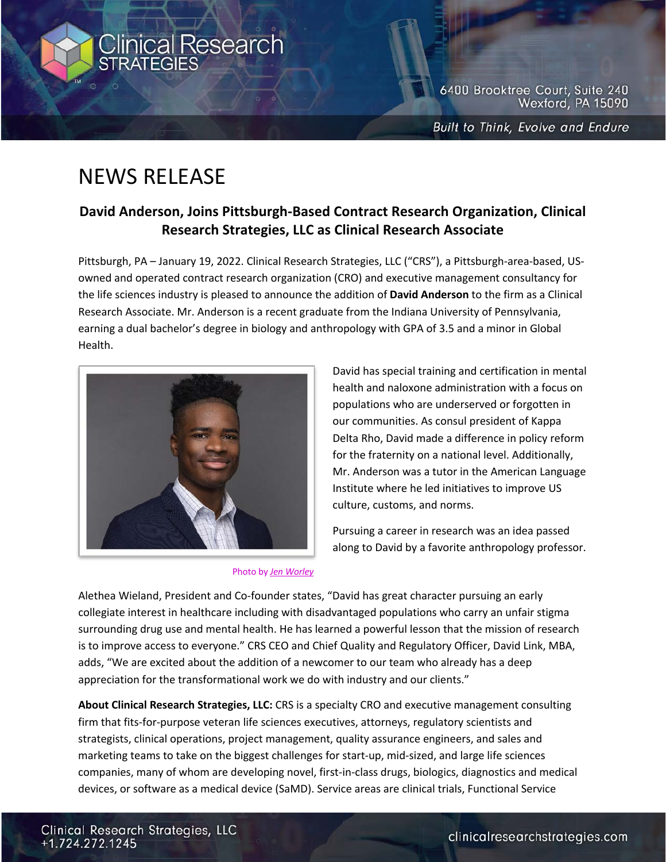

6400 Brooktree Court, Suite 240 Wexford, PA 15090

**Built to Think, Evolve and Endure** 

## NEWS RELEASE

## **David Anderson, Joins Pittsburgh-Based Contract Research Organization, Clinical Research Strategies, LLC as Clinical Research Associate**

Pittsburgh, PA – January 19, 2022. Clinical Research Strategies, LLC ("CRS"), a Pittsburgh-area-based, USowned and operated contract research organization (CRO) and executive management consultancy for the life sciences industry is pleased to announce the addition of **David Anderson** to the firm as a Clinical Research Associate. Mr. Anderson is a recent graduate from the Indiana University of Pennsylvania, earning a dual bachelor's degree in biology and anthropology with GPA of 3.5 and a minor in Global Health.



David has special training and certification in mental health and naloxone administration with a focus on populations who are underserved or forgotten in our communities. As consul president of Kappa Delta Rho, David made a difference in policy reform for the fraternity on a national level. Additionally, Mr. Anderson was a tutor in the American Language Institute where he led initiatives to improve US culture, customs, and norms.

Pursuing a career in research was an idea passed along to David by a favorite anthropology professor.

Photo by *Jen Worley*

Alethea Wieland, President and Co-founder states, "David has great character pursuing an early collegiate interest in healthcare including with disadvantaged populations who carry an unfair stigma surrounding drug use and mental health. He has learned a powerful lesson that the mission of research is to improve access to everyone." CRS CEO and Chief Quality and Regulatory Officer, David Link, MBA, adds, "We are excited about the addition of a newcomer to our team who already has a deep appreciation for the transformational work we do with industry and our clients."

**About Clinical Research Strategies, LLC:** CRS is a specialty CRO and executive management consulting firm that fits-for-purpose veteran life sciences executives, attorneys, regulatory scientists and strategists, clinical operations, project management, quality assurance engineers, and sales and marketing teams to take on the biggest challenges for start-up, mid-sized, and large life sciences companies, many of whom are developing novel, first-in-class drugs, biologics, diagnostics and medical devices, or software as a medical device (SaMD). Service areas are clinical trials, Functional Service